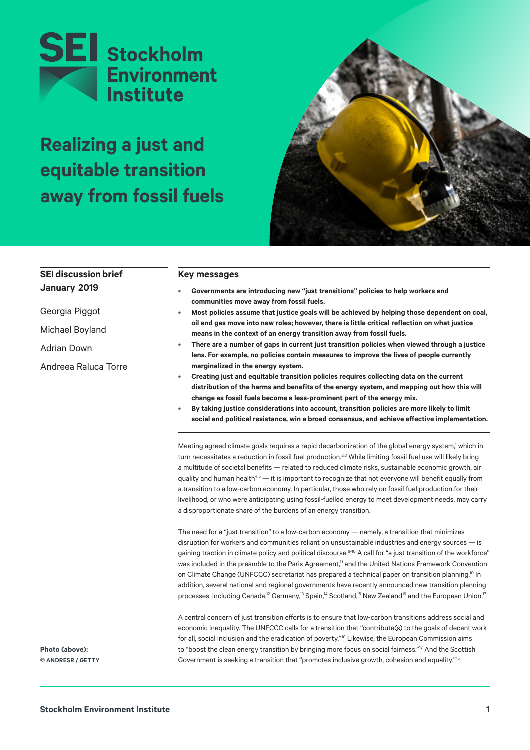

# **Realizing a just and equitable transition away from fossil fuels**



| <b>SEI discussion brief</b> | <b>Key messages</b>                                                                                                                                                                                                                                                                                                                                                                                                                                                                                                                                                                                                                                                                                                                                                                                                                                              |  |  |
|-----------------------------|------------------------------------------------------------------------------------------------------------------------------------------------------------------------------------------------------------------------------------------------------------------------------------------------------------------------------------------------------------------------------------------------------------------------------------------------------------------------------------------------------------------------------------------------------------------------------------------------------------------------------------------------------------------------------------------------------------------------------------------------------------------------------------------------------------------------------------------------------------------|--|--|
| January 2019                | Governments are introducing new "just transitions" policies to help workers and<br>۰                                                                                                                                                                                                                                                                                                                                                                                                                                                                                                                                                                                                                                                                                                                                                                             |  |  |
| Georgia Piggot              | communities move away from fossil fuels.<br>Most policies assume that justice goals will be achieved by helping those dependent on coal,<br>۰                                                                                                                                                                                                                                                                                                                                                                                                                                                                                                                                                                                                                                                                                                                    |  |  |
| Michael Boyland             | oil and gas move into new roles; however, there is little critical reflection on what justice<br>means in the context of an energy transition away from fossil fuels.                                                                                                                                                                                                                                                                                                                                                                                                                                                                                                                                                                                                                                                                                            |  |  |
| <b>Adrian Down</b>          | There are a number of gaps in current just transition policies when viewed through a justice<br>۰<br>lens. For example, no policies contain measures to improve the lives of people currently<br>marginalized in the energy system.<br>Creating just and equitable transition policies requires collecting data on the current<br>۰<br>distribution of the harms and benefits of the energy system, and mapping out how this will<br>change as fossil fuels become a less-prominent part of the energy mix.<br>By taking justice considerations into account, transition policies are more likely to limit<br>$\bullet$<br>social and political resistance, win a broad consensus, and achieve effective implementation.                                                                                                                                         |  |  |
| Andreea Raluca Torre        |                                                                                                                                                                                                                                                                                                                                                                                                                                                                                                                                                                                                                                                                                                                                                                                                                                                                  |  |  |
|                             | Meeting agreed climate goals requires a rapid decarbonization of the global energy system, <sup>1</sup> which in<br>turn necessitates a reduction in fossil fuel production. <sup>2,3</sup> While limiting fossil fuel use will likely bring<br>a multitude of societal benefits - related to reduced climate risks, sustainable economic growth, air<br>quality and human health <sup>4,5</sup> $-$ it is important to recognize that not everyone will benefit equally from<br>a transition to a low-carbon economy. In particular, those who rely on fossil fuel production for their<br>livelihood, or who were anticipating using fossil-fuelled energy to meet development needs, may carry<br>a disproportionate share of the burdens of an energy transition.                                                                                            |  |  |
|                             | The need for a "just transition" to a low-carbon economy — namely, a transition that minimizes<br>disruption for workers and communities reliant on unsustainable industries and energy sources - is<br>gaining traction in climate policy and political discourse. <sup>6-10</sup> A call for "a just transition of the workforce"<br>was included in the preamble to the Paris Agreement, <sup>11</sup> and the United Nations Framework Convention<br>on Climate Change (UNFCCC) secretariat has prepared a technical paper on transition planning. <sup>10</sup> In<br>addition, several national and regional governments have recently announced new transition planning<br>processes, including Canada, <sup>12</sup> Germany, <sup>13</sup> Spain, <sup>14</sup> Scotland, <sup>15</sup> New Zealand <sup>16</sup> and the European Union. <sup>17</sup> |  |  |
| Photo (above):              | A central concern of just transition efforts is to ensure that low-carbon transitions address social and<br>economic inequality. The UNFCCC calls for a transition that "contribute(s) to the goals of decent work<br>for all, social inclusion and the eradication of poverty." <sup>10</sup> Likewise, the European Commission aims<br>to "boost the clean energy transition by bringing more focus on social fairness." <sup>17</sup> And the Scottish                                                                                                                                                                                                                                                                                                                                                                                                        |  |  |
| © ANDRESR / GETTY           | Government is seeking a transition that "promotes inclusive growth, cohesion and equality." <sup>15</sup>                                                                                                                                                                                                                                                                                                                                                                                                                                                                                                                                                                                                                                                                                                                                                        |  |  |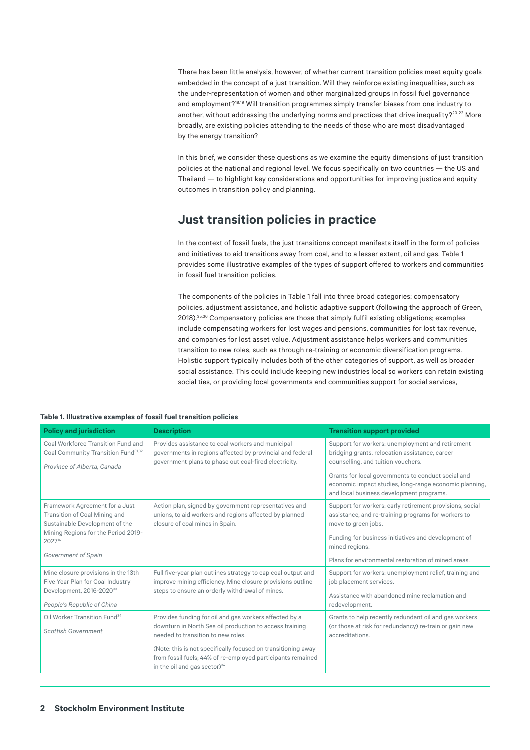There has been little analysis, however, of whether current transition policies meet equity goals embedded in the concept of a just transition. Will they reinforce existing inequalities, such as the under-representation of women and other marginalized groups in fossil fuel governance and employment?<sup>18,19</sup> Will transition programmes simply transfer biases from one industry to another, without addressing the underlying norms and practices that drive inequality?<sup>20-22</sup> More broadly, are existing policies attending to the needs of those who are most disadvantaged by the energy transition?

In this brief, we consider these questions as we examine the equity dimensions of just transition policies at the national and regional level. We focus specifically on two countries — the US and Thailand — to highlight key considerations and opportunities for improving justice and equity outcomes in transition policy and planning.

### **Just transition policies in practice**

In the context of fossil fuels, the just transitions concept manifests itself in the form of policies and initiatives to aid transitions away from coal, and to a lesser extent, oil and gas. [Table 1](#page-1-0) provides some illustrative examples of the types of support offered to workers and communities in fossil fuel transition policies.

The components of the policies in [Table 1](#page-1-0) fall into three broad categories: compensatory policies, adjustment assistance, and holistic adaptive support (following the approach of Green, 2018).35,36 Compensatory policies are those that simply fulfil existing obligations; examples include compensating workers for lost wages and pensions, communities for lost tax revenue, and companies for lost asset value. Adjustment assistance helps workers and communities transition to new roles, such as through re-training or economic diversification programs. Holistic support typically includes both of the other categories of support, as well as broader social assistance. This could include keeping new industries local so workers can retain existing social ties, or providing local governments and communities support for social services,

<span id="page-1-0"></span>

| Table 1. Illustrative examples of fossil fuel transition policies |  |  |
|-------------------------------------------------------------------|--|--|
|-------------------------------------------------------------------|--|--|

| <b>Policy and jurisdiction</b>                                                                                                                                                        | <b>Description</b>                                                                                                                                                                                                                                                                                                                  | <b>Transition support provided</b>                                                                                                                                                                                                                                                                   |
|---------------------------------------------------------------------------------------------------------------------------------------------------------------------------------------|-------------------------------------------------------------------------------------------------------------------------------------------------------------------------------------------------------------------------------------------------------------------------------------------------------------------------------------|------------------------------------------------------------------------------------------------------------------------------------------------------------------------------------------------------------------------------------------------------------------------------------------------------|
| Coal Workforce Transition Fund and<br>Coal Community Transition Fund <sup>31,32</sup><br>Province of Alberta, Canada                                                                  | Provides assistance to coal workers and municipal<br>governments in regions affected by provincial and federal<br>government plans to phase out coal-fired electricity.                                                                                                                                                             | Support for workers: unemployment and retirement<br>bridging grants, relocation assistance, career<br>counselling, and tuition vouchers.<br>Grants for local governments to conduct social and<br>economic impact studies, long-range economic planning,<br>and local business development programs. |
| Framework Agreement for a Just<br>Transition of Coal Mining and<br>Sustainable Development of the<br>Mining Regions for the Period 2019-<br>2027 <sup>14</sup><br>Government of Spain | Action plan, signed by government representatives and<br>unions, to aid workers and regions affected by planned<br>closure of coal mines in Spain.                                                                                                                                                                                  | Support for workers: early retirement provisions, social<br>assistance, and re-training programs for workers to<br>move to green jobs.<br>Funding for business initiatives and development of<br>mined regions.<br>Plans for environmental restoration of mined areas.                               |
| Mine closure provisions in the 13th<br>Five Year Plan for Coal Industry<br>Development, 2016-202033<br>People's Republic of China                                                     | Full five-year plan outlines strategy to cap coal output and<br>improve mining efficiency. Mine closure provisions outline<br>steps to ensure an orderly withdrawal of mines.                                                                                                                                                       | Support for workers: unemployment relief, training and<br>job placement services.<br>Assistance with abandoned mine reclamation and<br>redevelopment.                                                                                                                                                |
| Oil Worker Transition Fund <sup>34</sup><br><b>Scottish Government</b>                                                                                                                | Provides funding for oil and gas workers affected by a<br>downturn in North Sea oil production to access training<br>needed to transition to new roles.<br>(Note: this is not specifically focused on transitioning away<br>from fossil fuels; 44% of re-employed participants remained<br>in the oil and gas sector) <sup>34</sup> | Grants to help recently redundant oil and gas workers<br>(or those at risk for redundancy) re-train or gain new<br>accreditations.                                                                                                                                                                   |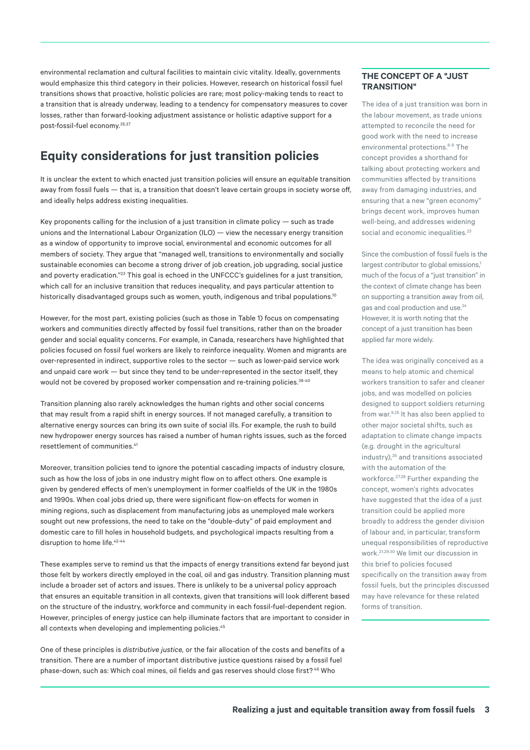environmental reclamation and cultural facilities to maintain civic vitality. Ideally, governments would emphasize this third category in their policies. However, research on historical fossil fuel transitions shows that proactive, holistic policies are rare; most policy-making tends to react to a transition that is already underway, leading to a tendency for compensatory measures to cover losses, rather than forward-looking adjustment assistance or holistic adaptive support for a post-fossil-fuel economy.35,37

## **Equity considerations for just transition policies**

It is unclear the extent to which enacted just transition policies will ensure an *equitable* transition away from fossil fuels — that is, a transition that doesn't leave certain groups in society worse off, and ideally helps address existing inequalities.

Key proponents calling for the inclusion of a just transition in climate policy — such as trade unions and the International Labour Organization (ILO) — view the necessary energy transition as a window of opportunity to improve social, environmental and economic outcomes for all members of society. They argue that "managed well, transitions to environmentally and socially sustainable economies can become a strong driver of job creation, job upgrading, social justice and poverty eradication."<sup>23</sup> This goal is echoed in the UNFCCC's guidelines for a just transition, which call for an inclusive transition that reduces inequality, and pays particular attention to historically disadvantaged groups such as women, youth, indigenous and tribal populations.<sup>10</sup>

However, for the most part, existing policies (such as those in Table 1) focus on compensating workers and communities directly affected by fossil fuel transitions, rather than on the broader gender and social equality concerns. For example, in Canada, researchers have highlighted that policies focused on fossil fuel workers are likely to reinforce inequality. Women and migrants are over-represented in indirect, supportive roles to the sector — such as lower-paid service work and unpaid care work — but since they tend to be under-represented in the sector itself, they would not be covered by proposed worker compensation and re-training policies. 38-40

Transition planning also rarely acknowledges the human rights and other social concerns that may result from a rapid shift in energy sources. If not managed carefully, a transition to alternative energy sources can bring its own suite of social ills. For example, the rush to build new hydropower energy sources has raised a number of human rights issues, such as the forced resettlement of communities.<sup>41</sup>

Moreover, transition policies tend to ignore the potential cascading impacts of industry closure, such as how the loss of jobs in one industry might flow on to affect others. One example is given by gendered effects of men's unemployment in former coalfields of the UK in the 1980s and 1990s. When coal jobs dried up, there were significant flow-on effects for women in mining regions, such as displacement from manufacturing jobs as unemployed male workers sought out new professions, the need to take on the "double-duty" of paid employment and domestic care to fill holes in household budgets, and psychological impacts resulting from a disruption to home life.<sup>42-44</sup>

These examples serve to remind us that the impacts of energy transitions extend far beyond just those felt by workers directly employed in the coal, oil and gas industry. Transition planning must include a broader set of actors and issues. There is unlikely to be a universal policy approach that ensures an equitable transition in all contexts, given that transitions will look different based on the structure of the industry, workforce and community in each fossil-fuel-dependent region. However, principles of energy justice can help illuminate factors that are important to consider in all contexts when developing and implementing policies.<sup>45</sup>

One of these principles is *distributive justice,* or the fair allocation of the costs and benefits of a transition. There are a number of important distributive justice questions raised by a fossil fuel phase-down, such as: Which coal mines, oil fields and gas reserves should close first? 46 Who

#### **THE CONCEPT OF A "JUST TRANSITION"**

The idea of a just transition was born in the labour movement, as trade unions attempted to reconcile the need for good work with the need to increase environmental protections.<sup>6-9</sup> The concept provides a shorthand for talking about protecting workers and communities affected by transitions away from damaging industries, and ensuring that a new "green economy" brings decent work, improves human well-being, and addresses widening social and economic inequalities.<sup>23</sup>

Since the combustion of fossil fuels is the largest contributor to global emissions,<sup>1</sup> much of the focus of a "just transition" in the context of climate change has been on supporting a transition away from oil, gas and coal production and use.<sup>24</sup> However, it is worth noting that the concept of a just transition has been applied far more widely.

The idea was originally conceived as a means to help atomic and chemical workers transition to safer and cleaner jobs, and was modelled on policies designed to support soldiers returning from war.<sup>9,25</sup> It has also been applied to other major societal shifts, such as adaptation to climate change impacts (e.g. drought in the agricultural industry).<sup>26</sup> and transitions associated with the automation of the workforce.<sup>27,28</sup> Further expanding the concept, women's rights advocates have suggested that the idea of a just transition could be applied more broadly to address the gender division of labour and, in particular, transform unequal responsibilities of reproductive work.21,29,30 We limit our discussion in this brief to policies focused specifically on the transition away from fossil fuels, but the principles discussed may have relevance for these related forms of transition.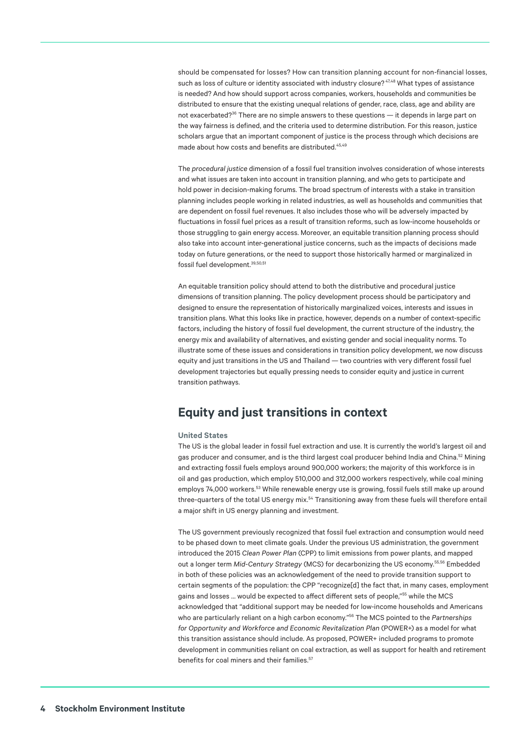should be compensated for losses? How can transition planning account for non-financial losses, such as loss of culture or identity associated with industry closure?  $47,48$  What types of assistance is needed? And how should support across companies, workers, households and communities be distributed to ensure that the existing unequal relations of gender, race, class, age and ability are not exacerbated?<sup>36</sup> There are no simple answers to these questions — it depends in large part on the way fairness is defined, and the criteria used to determine distribution. For this reason, justice scholars argue that an important component of justice is the process through which decisions are made about how costs and benefits are distributed.<sup>45,49</sup>

The *procedural justice* dimension of a fossil fuel transition involves consideration of whose interests and what issues are taken into account in transition planning, and who gets to participate and hold power in decision-making forums. The broad spectrum of interests with a stake in transition planning includes people working in related industries, as well as households and communities that are dependent on fossil fuel revenues. It also includes those who will be adversely impacted by fluctuations in fossil fuel prices as a result of transition reforms, such as low-income households or those struggling to gain energy access. Moreover, an equitable transition planning process should also take into account inter-generational justice concerns, such as the impacts of decisions made today on future generations, or the need to support those historically harmed or marginalized in fossil fuel development. 39,50,51

An equitable transition policy should attend to both the distributive and procedural justice dimensions of transition planning. The policy development process should be participatory and designed to ensure the representation of historically marginalized voices, interests and issues in transition plans. What this looks like in practice, however, depends on a number of context-specific factors, including the history of fossil fuel development, the current structure of the industry, the energy mix and availability of alternatives, and existing gender and social inequality norms. To illustrate some of these issues and considerations in transition policy development, we now discuss equity and just transitions in the US and Thailand — two countries with very different fossil fuel development trajectories but equally pressing needs to consider equity and justice in current transition pathways.

### **Equity and just transitions in context**

#### **United States**

The US is the global leader in fossil fuel extraction and use. It is currently the world's largest oil and gas producer and consumer, and is the third largest coal producer behind India and China.<sup>52</sup> Mining and extracting fossil fuels employs around 900,000 workers; the majority of this workforce is in oil and gas production, which employ 510,000 and 312,000 workers respectively, while coal mining employs 74,000 workers.<sup>53</sup> While renewable energy use is growing, fossil fuels still make up around three-quarters of the total US energy mix.<sup>54</sup> Transitioning away from these fuels will therefore entail a major shift in US energy planning and investment.

The US government previously recognized that fossil fuel extraction and consumption would need to be phased down to meet climate goals. Under the previous US administration, the government introduced the 2015 *Clean Power Plan* (CPP) to limit emissions from power plants, and mapped out a longer term *Mid-Century Strategy* (MCS) for decarbonizing the US economy.55,56 Embedded in both of these policies was an acknowledgement of the need to provide transition support to certain segments of the population: the CPP "recognize[d] the fact that, in many cases, employment gains and losses … would be expected to affect different sets of people,"55 while the MCS acknowledged that "additional support may be needed for low-income households and Americans who are particularly reliant on a high carbon economy."56 The MCS pointed to the *Partnerships for Opportunity and Workforce and Economic Revitalization Plan* (POWER+) as a model for what this transition assistance should include. As proposed, POWER+ included programs to promote development in communities reliant on coal extraction, as well as support for health and retirement benefits for coal miners and their families.<sup>57</sup>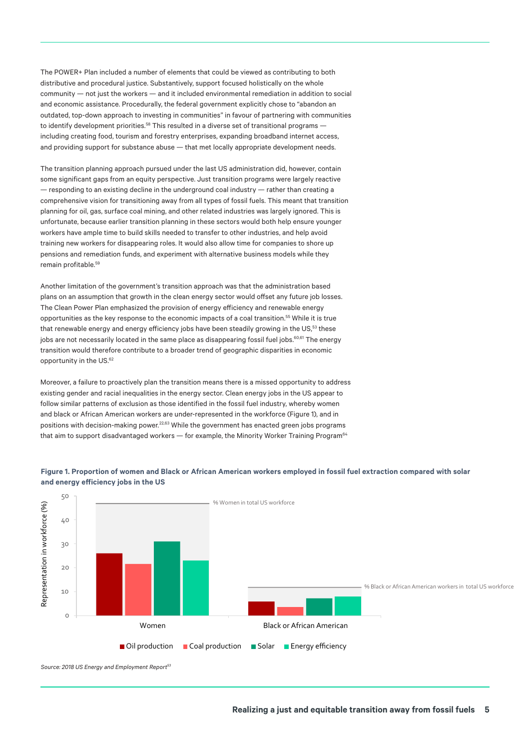The POWER+ Plan included a number of elements that could be viewed as contributing to both distributive and procedural justice. Substantively, support focused holistically on the whole community — not just the workers — and it included environmental remediation in addition to social and economic assistance. Procedurally, the federal government explicitly chose to "abandon an outdated, top-down approach to investing in communities" in favour of partnering with communities to identify development priorities.<sup>58</sup> This resulted in a diverse set of transitional programs including creating food, tourism and forestry enterprises, expanding broadband internet access, and providing support for substance abuse — that met locally appropriate development needs.

The transition planning approach pursued under the last US administration did, however, contain some significant gaps from an equity perspective. Just transition programs were largely reactive — responding to an existing decline in the underground coal industry — rather than creating a comprehensive vision for transitioning away from all types of fossil fuels. This meant that transition planning for oil, gas, surface coal mining, and other related industries was largely ignored. This is unfortunate, because earlier transition planning in these sectors would both help ensure younger workers have ample time to build skills needed to transfer to other industries, and help avoid training new workers for disappearing roles. It would also allow time for companies to shore up pensions and remediation funds, and experiment with alternative business models while they remain profitable.59

Another limitation of the government's transition approach was that the administration based plans on an assumption that growth in the clean energy sector would offset any future job losses. The Clean Power Plan emphasized the provision of energy efficiency and renewable energy opportunities as the key response to the economic impacts of a coal transition.55 While it is true that renewable energy and energy efficiency jobs have been steadily growing in the US,<sup>53</sup> these jobs are not necessarily located in the same place as disappearing fossil fuel jobs.<sup>60,61</sup> The energy transition would therefore contribute to a broader trend of geographic disparities in economic opportunity in the US.<sup>62</sup>

Moreover, a failure to proactively plan the transition means there is a missed opportunity to address existing gender and racial inequalities in the energy sector. Clean energy jobs in the US appear to follow similar patterns of exclusion as those identified in the fossil fuel industry, whereby women and black or African American workers are under-represented in the workforce ([Figure 1\)](#page-4-0), and in positions with decision-making power.<sup>22,63</sup> While the government has enacted green jobs programs that aim to support disadvantaged workers — for example, the Minority Worker Training Program<sup>64</sup>



#### <span id="page-4-0"></span>**Figure 1. Proportion of women and Black or African American workers employed in fossil fuel extraction compared with solar and energy efficiency jobs in the US**

*Source: 2018 US Energy and Employment Report53*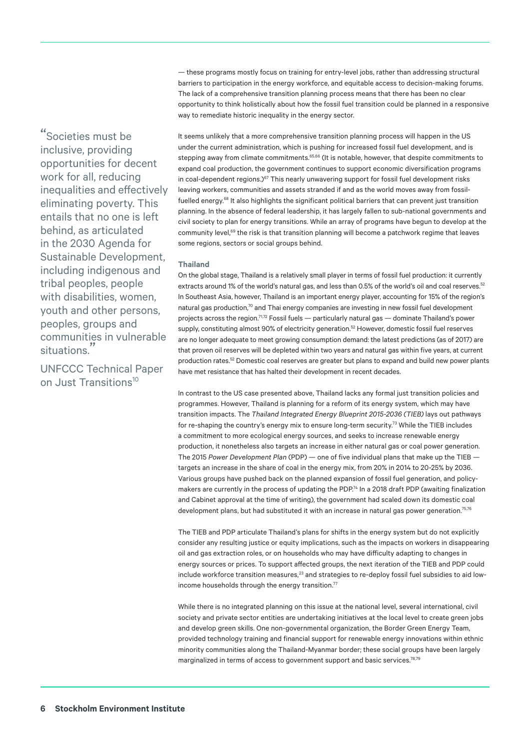— these programs mostly focus on training for entry-level jobs, rather than addressing structural barriers to participation in the energy workforce, and equitable access to decision-making forums. The lack of a comprehensive transition planning process means that there has been no clear opportunity to think holistically about how the fossil fuel transition could be planned in a responsive way to remediate historic inequality in the energy sector.

"Societies must be inclusive, providing opportunities for decent work for all, reducing inequalities and effectively eliminating poverty. This entails that no one is left behind, as articulated in the 2030 Agenda for Sustainable Development, including indigenous and tribal peoples, people with disabilities, women, youth and other persons, peoples, groups and communities in vulnerable situations."

UNFCCC Technical Paper on Just Transitions<sup>10</sup>

It seems unlikely that a more comprehensive transition planning process will happen in the US under the current administration, which is pushing for increased fossil fuel development, and is stepping away from climate commitments.<sup>65,66</sup> (It is notable, however, that despite commitments to expand coal production, the government continues to support economic diversification programs in coal-dependent regions.)<sup>67</sup> This nearly unwavering support for fossil fuel development risks leaving workers, communities and assets stranded if and as the world moves away from fossilfuelled energy.68 It also highlights the significant political barriers that can prevent just transition planning. In the absence of federal leadership, it has largely fallen to sub-national governments and civil society to plan for energy transitions. While an array of programs have begun to develop at the community level,<sup>69</sup> the risk is that transition planning will become a patchwork regime that leaves some regions, sectors or social groups behind.

#### **Thailand**

On the global stage, Thailand is a relatively small player in terms of fossil fuel production: it currently extracts around 1% of the world's natural gas, and less than 0.5% of the world's oil and coal reserves.<sup>52</sup> In Southeast Asia, however, Thailand is an important energy player, accounting for 15% of the region's natural gas production,<sup>70</sup> and Thai energy companies are investing in new fossil fuel development projects across the region.71,72 Fossil fuels — particularly natural gas — dominate Thailand's power supply, constituting almost 90% of electricity generation.<sup>52</sup> However, domestic fossil fuel reserves are no longer adequate to meet growing consumption demand: the latest predictions (as of 2017) are that proven oil reserves will be depleted within two years and natural gas within five years, at current production rates.<sup>52</sup> Domestic coal reserves are greater but plans to expand and build new power plants have met resistance that has halted their development in recent decades.

In contrast to the US case presented above, Thailand lacks any formal just transition policies and programmes. However, Thailand is planning for a reform of its energy system, which may have transition impacts. The *Thailand Integrated Energy Blueprint 2015-2036 (TIEB)* lays out pathways for re-shaping the country's energy mix to ensure long-term security.<sup>73</sup> While the TIEB includes a commitment to more ecological energy sources, and seeks to increase renewable energy production, it nonetheless also targets an increase in either natural gas or coal power generation. The 2015 *Power Development Plan* (PDP) — one of five individual plans that make up the TIEB targets an increase in the share of coal in the energy mix, from 20% in 2014 to 20-25% by 2036. Various groups have pushed back on the planned expansion of fossil fuel generation, and policymakers are currently in the process of updating the PDP.<sup>74</sup> In a 2018 draft PDP (awaiting finalization and Cabinet approval at the time of writing), the government had scaled down its domestic coal development plans, but had substituted it with an increase in natural gas power generation.<sup>75,76</sup>

The TIEB and PDP articulate Thailand's plans for shifts in the energy system but do not explicitly consider any resulting justice or equity implications, such as the impacts on workers in disappearing oil and gas extraction roles, or on households who may have difficulty adapting to changes in energy sources or prices. To support affected groups, the next iteration of the TIEB and PDP could include workforce transition measures,<sup>23</sup> and strategies to re-deploy fossil fuel subsidies to aid lowincome households through the energy transition.<sup>77</sup>

While there is no integrated planning on this issue at the national level, several international, civil society and private sector entities are undertaking initiatives at the local level to create green jobs and develop green skills. One non-governmental organization, the Border Green Energy Team, provided technology training and financial support for renewable energy innovations within ethnic minority communities along the Thailand-Myanmar border; these social groups have been largely marginalized in terms of access to government support and basic services.<sup>78,79</sup>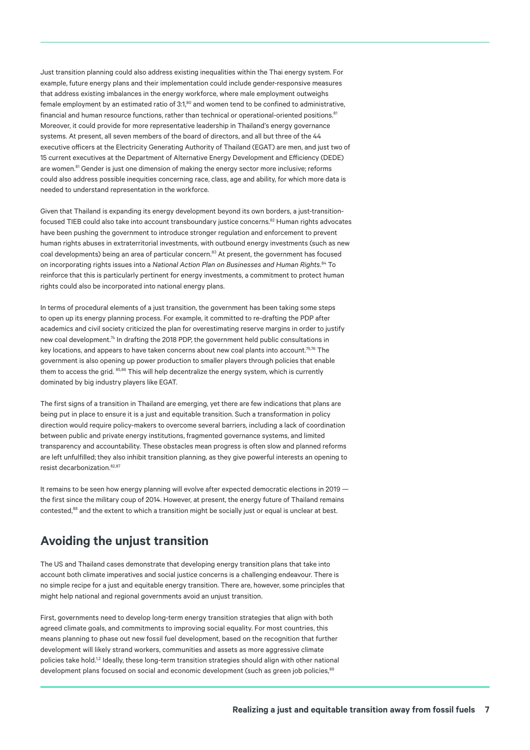Just transition planning could also address existing inequalities within the Thai energy system. For example, future energy plans and their implementation could include gender-responsive measures that address existing imbalances in the energy workforce, where male employment outweighs female employment by an estimated ratio of 3:1,<sup>80</sup> and women tend to be confined to administrative, financial and human resource functions, rather than technical or operational-oriented positions.<sup>81</sup> Moreover, it could provide for more representative leadership in Thailand's energy governance systems. At present, all seven members of the board of directors, and all but three of the 44 executive officers at the Electricity Generating Authority of Thailand (EGAT) are men, and just two of 15 current executives at the Department of Alternative Energy Development and Efficiency (DEDE) are women.<sup>81</sup> Gender is just one dimension of making the energy sector more inclusive; reforms could also address possible inequities concerning race, class, age and ability, for which more data is needed to understand representation in the workforce.

Given that Thailand is expanding its energy development beyond its own borders, a just-transitionfocused TIEB could also take into account transboundary justice concerns.<sup>82</sup> Human rights advocates have been pushing the government to introduce stronger regulation and enforcement to prevent human rights abuses in extraterritorial investments, with outbound energy investments (such as new coal developments) being an area of particular concern.<sup>83</sup> At present, the government has focused on incorporating rights issues into a *National Action Plan on Businesses and Human Rights.*84 To reinforce that this is particularly pertinent for energy investments, a commitment to protect human rights could also be incorporated into national energy plans.

In terms of procedural elements of a just transition, the government has been taking some steps to open up its energy planning process. For example, it committed to re-drafting the PDP after academics and civil society criticized the plan for overestimating reserve margins in order to justify new coal development.<sup>74</sup> In drafting the 2018 PDP, the government held public consultations in key locations, and appears to have taken concerns about new coal plants into account.<sup>75,76</sup> The government is also opening up power production to smaller players through policies that enable them to access the grid. 85,86 This will help decentralize the energy system, which is currently dominated by big industry players like EGAT.

The first signs of a transition in Thailand are emerging, yet there are few indications that plans are being put in place to ensure it is a just and equitable transition. Such a transformation in policy direction would require policy-makers to overcome several barriers, including a lack of coordination between public and private energy institutions, fragmented governance systems, and limited transparency and accountability. These obstacles mean progress is often slow and planned reforms are left unfulfilled; they also inhibit transition planning, as they give powerful interests an opening to resist decarbonization.82,87

It remains to be seen how energy planning will evolve after expected democratic elections in 2019 the first since the military coup of 2014. However, at present, the energy future of Thailand remains contested,<sup>88</sup> and the extent to which a transition might be socially just or equal is unclear at best.

### **Avoiding the unjust transition**

The US and Thailand cases demonstrate that developing energy transition plans that take into account both climate imperatives and social justice concerns is a challenging endeavour. There is no simple recipe for a just and equitable energy transition. There are, however, some principles that might help national and regional governments avoid an unjust transition.

First, governments need to develop long-term energy transition strategies that align with both agreed climate goals, and commitments to improving social equality. For most countries, this means planning to phase out new fossil fuel development, based on the recognition that further development will likely strand workers, communities and assets as more aggressive climate policies take hold.<sup>1,2</sup> Ideally, these long-term transition strategies should align with other national development plans focused on social and economic development (such as green job policies,<sup>89</sup>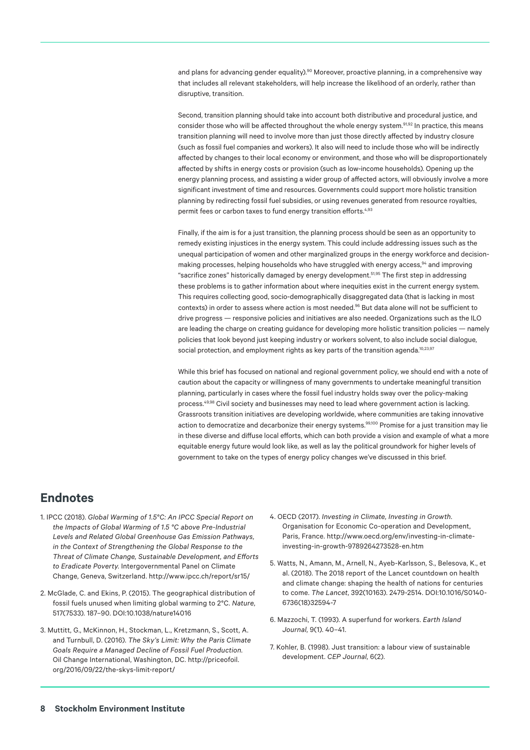and plans for advancing gender equality).<sup>90</sup> Moreover, proactive planning, in a comprehensive way that includes all relevant stakeholders, will help increase the likelihood of an orderly, rather than disruptive, transition.

Second, transition planning should take into account both distributive and procedural justice, and consider those who will be affected throughout the whole energy system.<sup>91,92</sup> In practice, this means transition planning will need to involve more than just those directly affected by industry closure (such as fossil fuel companies and workers). It also will need to include those who will be indirectly affected by changes to their local economy or environment, and those who will be disproportionately affected by shifts in energy costs or provision (such as low-income households). Opening up the energy planning process, and assisting a wider group of affected actors, will obviously involve a more significant investment of time and resources. Governments could support more holistic transition planning by redirecting fossil fuel subsidies, or using revenues generated from resource royalties, permit fees or carbon taxes to fund energy transition efforts.<sup>4,93</sup>

Finally, if the aim is for a just transition, the planning process should be seen as an opportunity to remedy existing injustices in the energy system. This could include addressing issues such as the unequal participation of women and other marginalized groups in the energy workforce and decisionmaking processes, helping households who have struggled with energy access,<sup>94</sup> and improving "sacrifice zones" historically damaged by energy development.51,95 The first step in addressing these problems is to gather information about where inequities exist in the current energy system. This requires collecting good, socio-demographically disaggregated data (that is lacking in most contexts) in order to assess where action is most needed.<sup>96</sup> But data alone will not be sufficient to drive progress — responsive policies and initiatives are also needed. Organizations such as the ILO are leading the charge on creating guidance for developing more holistic transition policies — namely policies that look beyond just keeping industry or workers solvent, to also include social dialogue, social protection, and employment rights as key parts of the transition agenda.<sup>10,23,97</sup>

While this brief has focused on national and regional government policy, we should end with a note of caution about the capacity or willingness of many governments to undertake meaningful transition planning, particularly in cases where the fossil fuel industry holds sway over the policy-making process.49,98 Civil society and businesses may need to lead where government action is lacking. Grassroots transition initiatives are developing worldwide, where communities are taking innovative action to democratize and decarbonize their energy systems.<sup>99,100</sup> Promise for a just transition may lie in these diverse and diffuse local efforts, which can both provide a vision and example of what a more equitable energy future would look like, as well as lay the political groundwork for higher levels of government to take on the types of energy policy changes we've discussed in this brief.

### **Endnotes**

- 1. IPCC (2018). *Global Warming of 1.5°C: An IPCC Special Report on the Impacts of Global Warming of 1.5 °C above Pre-Industrial Levels and Related Global Greenhouse Gas Emission Pathways, in the Context of Strengthening the Global Response to the Threat of Climate Change, Sustainable Development, and Efforts to Eradicate Poverty*. Intergovernmental Panel on Climate Change, Geneva, Switzerland.<http://www.ipcc.ch/report/sr15/>
- 2. McGlade, C. and Ekins, P. (2015). The geographical distribution of fossil fuels unused when limiting global warming to 2°C. *Nature*, 517(7533). 187–90. [DOI:10.1038/nature14016](https://doi.org/10.1038/nature14016)
- 3. Muttitt, G., McKinnon, H., Stockman, L., Kretzmann, S., Scott, A. and Turnbull, D. (2016). *The Sky's Limit: Why the Paris Climate Goals Require a Managed Decline of Fossil Fuel Production*. Oil Change International, Washington, DC. [http://priceofoil.](http://priceofoil.org/2016/09/22/the-skys-limit-report/) [org/2016/09/22/the-skys-limit-report/](http://priceofoil.org/2016/09/22/the-skys-limit-report/)
- 4. OECD (2017). *Investing in Climate, Investing in Growth*. Organisation for Economic Co-operation and Development, Paris, France. [http://www.oecd.org/env/investing-in-climate](http://www.oecd.org/env/investing-in-climate-investing-in-growth-9789264273528-en.htm)[investing-in-growth-9789264273528-en.htm](http://www.oecd.org/env/investing-in-climate-investing-in-growth-9789264273528-en.htm)
- 5. Watts, N., Amann, M., Arnell, N., Ayeb-Karlsson, S., Belesova, K., et al. (2018). The 2018 report of the Lancet countdown on health and climate change: shaping the health of nations for centuries to come. *The Lancet*, 392(10163). 2479-2514. [DOI:10.1016/S0140-](https://doi.org/10.1016/S0140-6736(18)32594-7) [6736\(18\)32594-7](https://doi.org/10.1016/S0140-6736(18)32594-7)
- 6. Mazzochi, T. (1993). A superfund for workers. *Earth Island Journal*, 9(1). 40–41.
- 7. Kohler, B. (1998). Just transition: a labour view of sustainable development. *CEP Journal*, 6(2).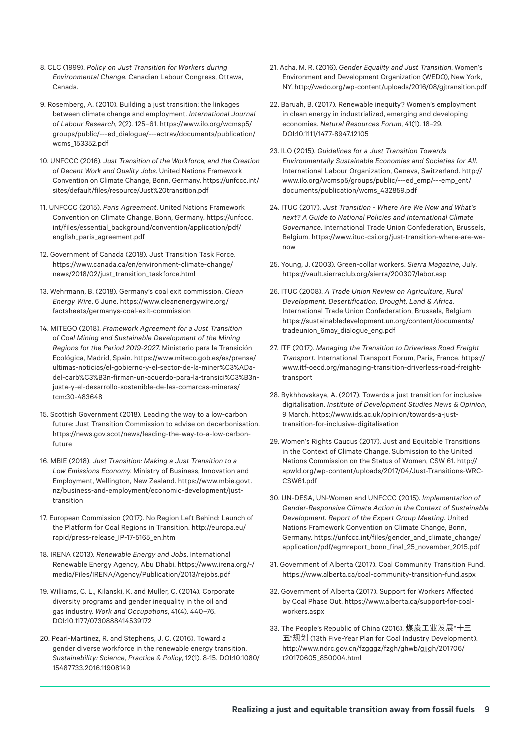- 8. CLC (1999). *Policy on Just Transition for Workers during Environmental Change*. Canadian Labour Congress, Ottawa, Canada.
- 9. Rosemberg, A. (2010). Building a just transition: the linkages between climate change and employment. *International Journal of Labour Research*, 2(2). 125–61. [https://www.ilo.org/wcmsp5/](https://www.ilo.org/wcmsp5/groups/public/---ed_dialogue/---actrav/documents/publication/wcms_153352.pdf) [groups/public/---ed\\_dialogue/---actrav/documents/publication/](https://www.ilo.org/wcmsp5/groups/public/---ed_dialogue/---actrav/documents/publication/wcms_153352.pdf) [wcms\\_153352.pdf](https://www.ilo.org/wcmsp5/groups/public/---ed_dialogue/---actrav/documents/publication/wcms_153352.pdf)
- 10. UNFCCC (2016). *Just Transition of the Workforce, and the Creation of Decent Work and Quality Jobs*. United Nations Framework Convention on Climate Change, Bonn, Germany. [https://unfccc.int/](https://unfccc.int/sites/default/files/resource/Just%20transition.pdf) [sites/default/files/resource/Just%20transition.pdf](https://unfccc.int/sites/default/files/resource/Just%20transition.pdf)
- 11. UNFCCC (2015). *Paris Agreement*. United Nations Framework Convention on Climate Change, Bonn, Germany. [https://unfccc.](https://unfccc.int/files/essential_background/convention/application/pdf/english_paris_agreement.pdf) [int/files/essential\\_background/convention/application/pdf/](https://unfccc.int/files/essential_background/convention/application/pdf/english_paris_agreement.pdf) [english\\_paris\\_agreement.pdf](https://unfccc.int/files/essential_background/convention/application/pdf/english_paris_agreement.pdf)
- 12. Government of Canada (2018). Just Transition Task Force. [https://www.canada.ca/en/environment-climate-change/](https://www.canada.ca/en/environment-climate-change/news/2018/02/just_transition_taskforce.html) [news/2018/02/just\\_transition\\_taskforce.html](https://www.canada.ca/en/environment-climate-change/news/2018/02/just_transition_taskforce.html)
- 13. Wehrmann, B. (2018). Germany's coal exit commission. *Clean Energy Wire*, 6 June. [https://www.cleanenergywire.org/](https://www.cleanenergywire.org/factsheets/germanys-coal-exit-commission) [factsheets/germanys-coal-exit-commission](https://www.cleanenergywire.org/factsheets/germanys-coal-exit-commission)
- 14. MITEGO (2018). *Framework Agreement for a Just Transition of Coal Mining and Sustainable Development of the Mining Regions for the Period 2019-2027*. Ministerio para la Transición Ecológica, Madrid, Spain. [https://www.miteco.gob.es/es/prensa/](https://www.miteco.gob.es/es/prensa/ultimas-noticias/el-gobierno-y-el-sector-de-la-miner%C3%ADa-del-carb%C3%B3n-firman-un-acuerdo-para-la-transici%C3%B3n-justa-y-el-desarrollo-sostenible-de-las-comarcas-mineras/tcm) [ultimas-noticias/el-gobierno-y-el-sector-de-la-miner%C3%ADa](https://www.miteco.gob.es/es/prensa/ultimas-noticias/el-gobierno-y-el-sector-de-la-miner%C3%ADa-del-carb%C3%B3n-firman-un-acuerdo-para-la-transici%C3%B3n-justa-y-el-desarrollo-sostenible-de-las-comarcas-mineras/tcm)[del-carb%C3%B3n-firman-un-acuerdo-para-la-transici%C3%B3n](https://www.miteco.gob.es/es/prensa/ultimas-noticias/el-gobierno-y-el-sector-de-la-miner%C3%ADa-del-carb%C3%B3n-firman-un-acuerdo-para-la-transici%C3%B3n-justa-y-el-desarrollo-sostenible-de-las-comarcas-mineras/tcm)[justa-y-el-desarrollo-sostenible-de-las-comarcas-mineras/](https://www.miteco.gob.es/es/prensa/ultimas-noticias/el-gobierno-y-el-sector-de-la-miner%C3%ADa-del-carb%C3%B3n-firman-un-acuerdo-para-la-transici%C3%B3n-justa-y-el-desarrollo-sostenible-de-las-comarcas-mineras/tcm) [tcm](https://www.miteco.gob.es/es/prensa/ultimas-noticias/el-gobierno-y-el-sector-de-la-miner%C3%ADa-del-carb%C3%B3n-firman-un-acuerdo-para-la-transici%C3%B3n-justa-y-el-desarrollo-sostenible-de-las-comarcas-mineras/tcm):30-483648
- 15. Scottish Government (2018). Leading the way to a low-carbon future: Just Transition Commission to advise on decarbonisation. [https://news.gov.scot/news/leading-the-way-to-a-low-carbon](https://news.gov.scot/news/leading-the-way-to-a-low-carbon-future)[future](https://news.gov.scot/news/leading-the-way-to-a-low-carbon-future)
- 16. MBIE (2018). *Just Transition: Making a Just Transition to a Low Emissions Economy*. Ministry of Business, Innovation and Employment, Wellington, New Zealand. [https://www.mbie.govt.](https://www.mbie.govt.nz/business-and-employment/economic-development/just-transition) [nz/business-and-employment/economic-development/just](https://www.mbie.govt.nz/business-and-employment/economic-development/just-transition)[transition](https://www.mbie.govt.nz/business-and-employment/economic-development/just-transition)
- 17. European Commission (2017). No Region Left Behind: Launch of the Platform for Coal Regions in Transition. [http://europa.eu/](http://europa.eu/rapid/press-release_IP-17-5165_en.htm) [rapid/press-release\\_IP-17-5165\\_en.htm](http://europa.eu/rapid/press-release_IP-17-5165_en.htm)
- 18. IRENA (2013). *Renewable Energy and Jobs*. International Renewable Energy Agency, Abu Dhabi. [https://www.irena.org/-/](https://www.irena.org/-/media/Files/IRENA/Agency/Publication/2013/rejobs.pdf) [media/Files/IRENA/Agency/Publication/2013/rejobs.pdf](https://www.irena.org/-/media/Files/IRENA/Agency/Publication/2013/rejobs.pdf)
- 19. Williams, C. L., Kilanski, K. and Muller, C. (2014). Corporate diversity programs and gender inequality in the oil and gas industry. *Work and Occupations*, 41(4). 440–76. [DOI:10.1177/0730888414539172](https://doi.org/10.1177/0730888414539172)
- 20. Pearl-Martinez, R. and Stephens, J. C. (2016). Toward a gender diverse workforce in the renewable energy transition. *Sustainability: Science, Practice & Policy*, 12(1). 8-15. [DOI:10.1080/](https://doi.org/10.1080/15487733.2016.11908149) [15487733.2016.11908149](https://doi.org/10.1080/15487733.2016.11908149)
- 21. Acha, M. R. (2016). *Gender Equality and Just Transition*. Women's Environment and Development Organization (WEDO), New York, NY. <http://wedo.org/wp-content/uploads/2016/08/gjtransition.pdf>
- 22. Baruah, B. (2017). Renewable inequity? Women's employment in clean energy in industrialized, emerging and developing economies. *Natural Resources Forum*, 41(1). 18–29. [DOI:10.1111/1477-8947.12105](https://doi.org/10.1111/1477-8947.12105)
- 23. ILO (2015). *Guidelines for a Just Transition Towards Environmentally Sustainable Economies and Societies for All*. International Labour Organization, Geneva, Switzerland. [http://](http://www.ilo.org/wcmsp5/groups/public/---ed_emp/---emp_ent/documents/publication/wcms_432859.pdf) [www.ilo.org/wcmsp5/groups/public/---ed\\_emp/---emp\\_ent/](http://www.ilo.org/wcmsp5/groups/public/---ed_emp/---emp_ent/documents/publication/wcms_432859.pdf) [documents/publication/wcms\\_432859.pdf](http://www.ilo.org/wcmsp5/groups/public/---ed_emp/---emp_ent/documents/publication/wcms_432859.pdf)
- 24. ITUC (2017). *Just Transition Where Are We Now and What's next? A Guide to National Policies and International Climate Governance*. International Trade Union Confederation, Brussels, Belgium. [https://www.ituc-csi.org/just-transition-where-are-we](https://www.ituc-csi.org/just-transition-where-are-we-now)[now](https://www.ituc-csi.org/just-transition-where-are-we-now)
- 25. Young, J. (2003). Green-collar workers. *Sierra Magazine*, July. <https://vault.sierraclub.org/sierra/200307/labor.asp>
- 26. ITUC (2008). *A Trade Union Review on Agriculture, Rural Development, Desertification, Drought, Land & Africa*. International Trade Union Confederation, Brussels, Belgium [https://sustainabledevelopment.un.org/content/documents/](https://sustainabledevelopment.un.org/content/documents/tradeunion_6may_dialogue_eng.pdf) [tradeunion\\_6may\\_dialogue\\_eng.pdf](https://sustainabledevelopment.un.org/content/documents/tradeunion_6may_dialogue_eng.pdf)
- 27. ITF (2017). *Managing the Transition to Driverless Road Freight Transport*. International Transport Forum, Paris, France. [https://](https://www.itf-oecd.org/managing-transition-driverless-road-freight-transport) [www.itf-oecd.org/managing-transition-driverless-road-freight](https://www.itf-oecd.org/managing-transition-driverless-road-freight-transport)[transport](https://www.itf-oecd.org/managing-transition-driverless-road-freight-transport)
- 28. Bykhhovskaya, A. (2017). Towards a just transition for inclusive digitalisation. *Institute of Development Studies News & Opinion*, 9 March. [https://www.ids.ac.uk/opinion/towards-a-just](https://www.ids.ac.uk/opinion/towards-a-just-transition-for-inclusive-digitalisation)[transition-for-inclusive-digitalisation](https://www.ids.ac.uk/opinion/towards-a-just-transition-for-inclusive-digitalisation)
- 29. Women's Rights Caucus (2017). Just and Equitable Transitions in the Context of Climate Change. Submission to the United Nations Commission on the Status of Women, CSW 61. [http://](http://apwld.org/wp-content/uploads/2017/04/Just-Transitions-WRC-CSW61.pdf) [apwld.org/wp-content/uploads/2017/04/Just-Transitions-WRC-](http://apwld.org/wp-content/uploads/2017/04/Just-Transitions-WRC-CSW61.pdf)[CSW61.pdf](http://apwld.org/wp-content/uploads/2017/04/Just-Transitions-WRC-CSW61.pdf)
- 30. UN-DESA, UN-Women and UNFCCC (2015). *Implementation of Gender-Responsive Climate Action in the Context of Sustainable Development. Report of the Expert Group Meeting*. United Nations Framework Convention on Climate Change, Bonn, Germany. [https://unfccc.int/files/gender\\_and\\_climate\\_change/](https://unfccc.int/files/gender_and_climate_change/application/pdf/egmreport_bonn_final_25_november_2015.pdf) [application/pdf/egmreport\\_bonn\\_final\\_25\\_november\\_2015.pdf](https://unfccc.int/files/gender_and_climate_change/application/pdf/egmreport_bonn_final_25_november_2015.pdf)
- 31. Government of Alberta (2017). Coal Community Transition Fund. <https://www.alberta.ca/coal-community-transition-fund.aspx>
- 32. Government of Alberta (2017). Support for Workers Affected by Coal Phase Out. [https://www.alberta.ca/support-for-coal](https://www.alberta.ca/support-for-coal-workers.aspx)[workers.aspx](https://www.alberta.ca/support-for-coal-workers.aspx)
- 33. The People's Republic of China (2016). 煤炭工业发展"十三 五"规划 (13th Five-Year Plan for Coal Industry Development). [http://www.ndrc.gov.cn/fzgggz/fzgh/ghwb/gjjgh/201706/](http://www.ndrc.gov.cn/fzgggz/fzgh/ghwb/gjjgh/201706/t20170605_850004.html) [t20170605\\_850004.html](http://www.ndrc.gov.cn/fzgggz/fzgh/ghwb/gjjgh/201706/t20170605_850004.html)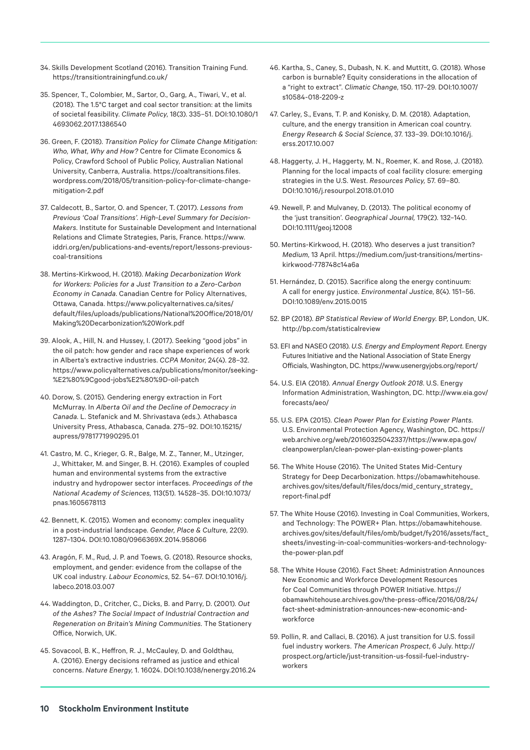- 34. Skills Development Scotland (2016). Transition Training Fund. <https://transitiontrainingfund.co.uk/>
- 35. Spencer, T., Colombier, M., Sartor, O., Garg, A., Tiwari, V., et al. (2018). The 1.5°C target and coal sector transition: at the limits of societal feasibility. *Climate Policy*, 18(3). 335–51. [DOI:10.1080/1](https://doi.org/10.1080/14693062.2017.1386540) [4693062.2017.1386540](https://doi.org/10.1080/14693062.2017.1386540)
- 36. Green, F. (2018). *Transition Policy for Climate Change Mitigation: Who, What, Why and How?* Centre for Climate Economics & Policy, Crawford School of Public Policy, Australian National University, Canberra, Australia. [https://coaltransitions.files.](https://coaltransitions.files.wordpress.com/2018/05/transition-policy-for-climate-change-mitigation-2.pdf) [wordpress.com/2018/05/transition-policy-for-climate-change](https://coaltransitions.files.wordpress.com/2018/05/transition-policy-for-climate-change-mitigation-2.pdf)[mitigation-2.pdf](https://coaltransitions.files.wordpress.com/2018/05/transition-policy-for-climate-change-mitigation-2.pdf)
- 37. Caldecott, B., Sartor, O. and Spencer, T. (2017). *Lessons from Previous 'Coal Transitions'. High-Level Summary for Decision-Makers*. Institute for Sustainable Development and International Relations and Climate Strategies, Paris, France. [https://www.](https://www.iddri.org/en/publications-and-events/report/lessons-previous-coal-transitions) [iddri.org/en/publications-and-events/report/lessons-previous](https://www.iddri.org/en/publications-and-events/report/lessons-previous-coal-transitions)[coal-transitions](https://www.iddri.org/en/publications-and-events/report/lessons-previous-coal-transitions)
- 38. Mertins-Kirkwood, H. (2018). *Making Decarbonization Work for Workers: Policies for a Just Transition to a Zero-Carbon Economy in Canada*. Canadian Centre for Policy Alternatives, Ottawa, Canada. [https://www.policyalternatives.ca/sites/](https://www.policyalternatives.ca/sites/default/files/uploads/publications/National%20Office/2018/01/Making%20Decarbonization%20Work.pdf) [default/files/uploads/publications/National%20Office/2018/01/](https://www.policyalternatives.ca/sites/default/files/uploads/publications/National%20Office/2018/01/Making%20Decarbonization%20Work.pdf) [Making%20Decarbonization%20Work.pdf](https://www.policyalternatives.ca/sites/default/files/uploads/publications/National%20Office/2018/01/Making%20Decarbonization%20Work.pdf)
- 39. Alook, A., Hill, N. and Hussey, I. (2017). Seeking "good jobs" in the oil patch: how gender and race shape experiences of work in Alberta's extractive industries. *CCPA Monitor*, 24(4). 28–32. [https://www.policyalternatives.ca/publications/monitor/seeking-](https://www.policyalternatives.ca/publications/monitor/seeking-%E2%80%9Cgood-jobs%E2%80%9D-oil-patch) [%E2%80%9Cgood-jobs%E2%80%9D-oil-patch](https://www.policyalternatives.ca/publications/monitor/seeking-%E2%80%9Cgood-jobs%E2%80%9D-oil-patch)
- 40. Dorow, S. (2015). Gendering energy extraction in Fort McMurray. In *Alberta Oil and the Decline of Democracy in Canada*. L. Stefanick and M. Shrivastava (eds.). Athabasca University Press, Athabasca, Canada. 275–92. [DOI:10.15215/](https://doi.org/10.15215/aupress/9781771990295.01) [aupress/9781771990295.01](https://doi.org/10.15215/aupress/9781771990295.01)
- 41. Castro, M. C., Krieger, G. R., Balge, M. Z., Tanner, M., Utzinger, J., Whittaker, M. and Singer, B. H. (2016). Examples of coupled human and environmental systems from the extractive industry and hydropower sector interfaces. *Proceedings of the National Academy of Sciences,* 113(51). 14528–35. [DOI:10.1073/](https://doi.org/10.1073/pnas.1605678113) [pnas.1605678113](https://doi.org/10.1073/pnas.1605678113)
- 42. Bennett, K. (2015). Women and economy: complex inequality in a post-industrial landscape. *Gender, Place & Culture,* 22(9). 1287–1304. [DOI:10.1080/0966369X.2014.958066](https://doi.org/10.1080/0966369X.2014.958066)
- 43. Aragón, F. M., Rud, J. P. and Toews, G. (2018). Resource shocks, employment, and gender: evidence from the collapse of the UK coal industry. *Labour Economics*, 52. 54–67. [DOI:10.1016/j.](https://doi.org/10.1016/j.labeco.2018.03.007) [labeco.2018.03.007](https://doi.org/10.1016/j.labeco.2018.03.007)
- 44. Waddington, D., Critcher, C., Dicks, B. and Parry, D. (2001). *Out of the Ashes? The Social Impact of Industrial Contraction and Regeneration on Britain's Mining Communities*. The Stationery Office, Norwich, UK.
- 45. Sovacool, B. K., Heffron, R. J., McCauley, D. and Goldthau, A. (2016). Energy decisions reframed as justice and ethical concerns. *Nature Energy,* 1. 16024. [DOI:10.1038/nenergy.2016.24](https://doi.org/10.1038/nenergy.2016.24)
- 46. Kartha, S., Caney, S., Dubash, N. K. and Muttitt, G. (2018). Whose carbon is burnable? Equity considerations in the allocation of a "right to extract". *Climatic Change*, 150. 117–29. [DOI:10.1007/](https://doi.org/10.1007/s10584-018-2209-z) [s10584-018-2209-z](https://doi.org/10.1007/s10584-018-2209-z)
- 47. Carley, S., Evans, T. P. and Konisky, D. M. (2018). Adaptation, culture, and the energy transition in American coal country. *Energy Research & Social Science*, 37. 133–39. [DOI:10.1016/j.](https://doi.org/10.1016/j.erss.2017.10.007) [erss.2017.10.007](https://doi.org/10.1016/j.erss.2017.10.007)
- 48. Haggerty, J. H., Haggerty, M. N., Roemer, K. and Rose, J. (2018). Planning for the local impacts of coal facility closure: emerging strategies in the U.S. West. *Resources Policy,* 57. 69–80. [DOI:10.1016/j.resourpol.2018.01.010](https://doi.org/10.1016/j.resourpol.2018.01.010)
- 49. Newell, P. and Mulvaney, D. (2013). The political economy of the 'just transition'. *Geographical Journal,* 179(2). 132–140. [DOI:10.1111/geoj.12008](https://doi.org/10.1111/geoj.12008)
- 50. Mertins-Kirkwood, H. (2018). Who deserves a just transition? *Medium*, 13 April. [https://medium.com/just-transitions/mertins](https://medium.com/just-transitions/mertins-kirkwood-778748c14a6a)[kirkwood-778748c14a6a](https://medium.com/just-transitions/mertins-kirkwood-778748c14a6a)
- 51. Hernández, D. (2015). Sacrifice along the energy continuum: A call for energy justice. *Environmental Justice*, 8(4). 151–56. [DOI:10.1089/env.2015.0015](https://doi.org/10.1089/env.2015.0015)
- 52. BP (2018). *BP Statistical Review of World Energy*. BP, London, UK. <http://bp.com/statisticalreview>
- 53. EFI and NASEO (2018). *U.S. Energy and Employment Report*. Energy Futures Initiative and the National Association of State Energy Officials, Washington, DC. <https://www.usenergyjobs.org/report/>
- 54. U.S. EIA (2018). *Annual Energy Outlook 2018*. U.S. Energy Information Administration, Washington, DC. [http://www.eia.gov/](http://www.eia.gov/forecasts/aeo/) [forecasts/aeo/](http://www.eia.gov/forecasts/aeo/)
- 55. U.S. EPA (2015). *Clean Power Plan for Existing Power Plants*. U.S. Environmental Protection Agency, Washington, DC. [https://](https://web.archive.org/web/20160325042337/https://www.epa.gov/cleanpowerplan/clean-power-plan-existing-power-plants) [web.archive.org/web/20160325042337/https://www.epa.gov/](https://web.archive.org/web/20160325042337/https://www.epa.gov/cleanpowerplan/clean-power-plan-existing-power-plants) [cleanpowerplan/clean-power-plan-existing-power-plants](https://web.archive.org/web/20160325042337/https://www.epa.gov/cleanpowerplan/clean-power-plan-existing-power-plants)
- 56. The White House (2016). The United States Mid-Century Strategy for Deep Decarbonization. [https://obamawhitehouse.](https://obamawhitehouse.archives.gov/sites/default/files/docs/mid_century_strategy_report-final.pdf) [archives.gov/sites/default/files/docs/mid\\_century\\_strategy\\_](https://obamawhitehouse.archives.gov/sites/default/files/docs/mid_century_strategy_report-final.pdf) [report-final.pdf](https://obamawhitehouse.archives.gov/sites/default/files/docs/mid_century_strategy_report-final.pdf)
- 57. The White House (2016). Investing in Coal Communities, Workers, and Technology: The POWER+ Plan. [https://obamawhitehouse.](https://obamawhitehouse.archives.gov/sites/default/files/omb/budget/fy2016/assets/fact_sheets/investing-in-coal-communities-workers-and-technology-the-power-plan.pdf) [archives.gov/sites/default/files/omb/budget/fy2016/assets/fact\\_](https://obamawhitehouse.archives.gov/sites/default/files/omb/budget/fy2016/assets/fact_sheets/investing-in-coal-communities-workers-and-technology-the-power-plan.pdf) [sheets/investing-in-coal-communities-workers-and-technology](https://obamawhitehouse.archives.gov/sites/default/files/omb/budget/fy2016/assets/fact_sheets/investing-in-coal-communities-workers-and-technology-the-power-plan.pdf)[the-power-plan.pdf](https://obamawhitehouse.archives.gov/sites/default/files/omb/budget/fy2016/assets/fact_sheets/investing-in-coal-communities-workers-and-technology-the-power-plan.pdf)
- 58. The White House (2016). Fact Sheet: Administration Announces New Economic and Workforce Development Resources for Coal Communities through POWER Initiative. [https://](https://obamawhitehouse.archives.gov/the-press-office/2016/08/24/fact-sheet-administration-announces-new-economic-and-workforce) [obamawhitehouse.archives.gov/the-press-office/2016/08/24/](https://obamawhitehouse.archives.gov/the-press-office/2016/08/24/fact-sheet-administration-announces-new-economic-and-workforce) [fact-sheet-administration-announces-new-economic-and](https://obamawhitehouse.archives.gov/the-press-office/2016/08/24/fact-sheet-administration-announces-new-economic-and-workforce)[workforce](https://obamawhitehouse.archives.gov/the-press-office/2016/08/24/fact-sheet-administration-announces-new-economic-and-workforce)
- 59. Pollin, R. and Callaci, B. (2016). A just transition for U.S. fossil fuel industry workers. *The American Prospect*, 6 July. [http://](http://prospect.org/article/just-transition-us-fossil-fuel-industry-workers) [prospect.org/article/just-transition-us-fossil-fuel-industry](http://prospect.org/article/just-transition-us-fossil-fuel-industry-workers)[workers](http://prospect.org/article/just-transition-us-fossil-fuel-industry-workers)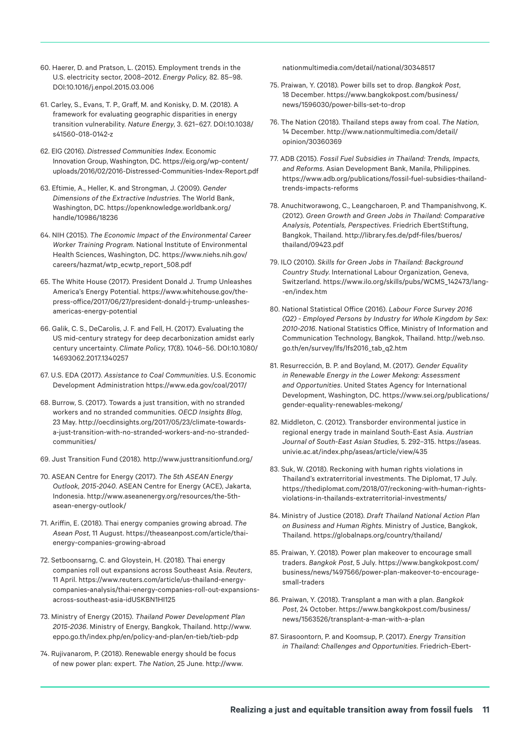- 60. Haerer, D. and Pratson, L. (2015). Employment trends in the U.S. electricity sector, 2008–2012. *Energy Policy,* 82. 85–98. [DOI:10.1016/j.enpol.2015.03.006](https://doi.org/10.1016/j.enpol.2015.03.006)
- 61. Carley, S., Evans, T. P., Graff, M. and Konisky, D. M. (2018). A framework for evaluating geographic disparities in energy transition vulnerability. *Nature Energy*, 3. 621–627. [DOI:10.1038/](https://doi.org/10.1038/s41560-018-0142-z) [s41560-018-0142-z](https://doi.org/10.1038/s41560-018-0142-z)
- 62. EIG (2016). *Distressed Communities Index*. Economic Innovation Group, Washington, DC. [https://eig.org/wp-content/](https://eig.org/wp-content/uploads/2016/02/2016-Distressed-Communities-Index-Report.pdf) [uploads/2016/02/2016-Distressed-Communities-Index-Report.pdf](https://eig.org/wp-content/uploads/2016/02/2016-Distressed-Communities-Index-Report.pdf)
- 63. Eftimie, A., Heller, K. and Strongman, J. (2009). *Gender Dimensions of the Extractive Industries*. The World Bank, Washington, DC. [https://openknowledge.worldbank.org/](https://openknowledge.worldbank.org/handle/10986/18236) [handle/10986/18236](https://openknowledge.worldbank.org/handle/10986/18236)
- 64. NIH (2015). *The Economic Impact of the Environmental Career Worker Training Program*. National Institute of Environmental Health Sciences, Washington, DC. [https://www.niehs.nih.gov/](https://www.niehs.nih.gov/careers/hazmat/wtp_ecwtp_report_508.pdf) [careers/hazmat/wtp\\_ecwtp\\_report\\_508.pdf](https://www.niehs.nih.gov/careers/hazmat/wtp_ecwtp_report_508.pdf)
- 65. The White House (2017). President Donald J. Trump Unleashes America's Energy Potential. [https://www.whitehouse.gov/the](https://www.whitehouse.gov/the-press-office/2017/06/27/president-donald-j-trump-unleashes-americas-energy-potential)[press-office/2017/06/27/president-donald-j-trump-unleashes](https://www.whitehouse.gov/the-press-office/2017/06/27/president-donald-j-trump-unleashes-americas-energy-potential)[americas-energy-potential](https://www.whitehouse.gov/the-press-office/2017/06/27/president-donald-j-trump-unleashes-americas-energy-potential)
- 66. Galik, C. S., DeCarolis, J. F. and Fell, H. (2017). Evaluating the US mid-century strategy for deep decarbonization amidst early century uncertainty. *Climate Policy,* 17(8). 1046–56. [DOI:10.1080/](https://doi.org/10.1080/14693062.2017.1340257) [14693062.2017.1340257](https://doi.org/10.1080/14693062.2017.1340257)
- 67. U.S. EDA (2017). *Assistance to Coal Communities*. U.S. Economic Development Administration <https://www.eda.gov/coal/2017/>
- 68. Burrow, S. (2017). Towards a just transition, with no stranded workers and no stranded communities. *OECD Insights Blog*, 23 May. [http://oecdinsights.org/2017/05/23/climate-towards](http://oecdinsights.org/2017/05/23/climate-towards-a-just-transition-with-no-stranded-workers-and-no-stranded-communities/)[a-just-transition-with-no-stranded-workers-and-no-stranded](http://oecdinsights.org/2017/05/23/climate-towards-a-just-transition-with-no-stranded-workers-and-no-stranded-communities/)[communities/](http://oecdinsights.org/2017/05/23/climate-towards-a-just-transition-with-no-stranded-workers-and-no-stranded-communities/)
- 69. Just Transition Fund (2018). <http://www.justtransitionfund.org/>
- 70. ASEAN Centre for Energy (2017). *The 5th ASEAN Energy Outlook, 2015-2040*. ASEAN Centre for Energy (ACE), Jakarta, Indonesia. [http://www.aseanenergy.org/resources/the-5th](http://www.aseanenergy.org/resources/the-5th-asean-energy-outlook/)[asean-energy-outlook/](http://www.aseanenergy.org/resources/the-5th-asean-energy-outlook/)
- 71. Ariffin, E. (2018). Thai energy companies growing abroad. *The Asean Post*, 11 August. [https://theaseanpost.com/article/thai](https://theaseanpost.com/article/thai-energy-companies-growing-abroad)[energy-companies-growing-abroad](https://theaseanpost.com/article/thai-energy-companies-growing-abroad)
- 72. Setboonsarng, C. and Gloystein, H. (2018). Thai energy companies roll out expansions across Southeast Asia. *Reuters*, 11 April. [https://www.reuters.com/article/us-thailand-energy](https://www.reuters.com/article/us-thailand-energy-companies-analysis/thai-energy-companies-roll-out-expansions-across-southeast-asia-idUSKBN1HI125)[companies-analysis/thai-energy-companies-roll-out-expansions](https://www.reuters.com/article/us-thailand-energy-companies-analysis/thai-energy-companies-roll-out-expansions-across-southeast-asia-idUSKBN1HI125)[across-southeast-asia-idUSKBN1HI125](https://www.reuters.com/article/us-thailand-energy-companies-analysis/thai-energy-companies-roll-out-expansions-across-southeast-asia-idUSKBN1HI125)
- 73. Ministry of Energy (2015). *Thailand Power Development Plan 2015-2036*. Ministry of Energy, Bangkok, Thailand. [http://www.](http://www.eppo.go.th/index.php/en/policy-and-plan/en-tieb/tieb-pdp) [eppo.go.th/index.php/en/policy-and-plan/en-tieb/tieb-pdp](http://www.eppo.go.th/index.php/en/policy-and-plan/en-tieb/tieb-pdp)
- 74. Rujivanarom, P. (2018). Renewable energy should be focus of new power plan: expert. *The Nation*, 25 June. [http://www.](http://www.nationmultimedia.com/detail/national/30348517)

[nationmultimedia.com/detail/national/30348517](http://www.nationmultimedia.com/detail/national/30348517)

- 75. Praiwan, Y. (2018). Power bills set to drop. *Bangkok Post*, 18 December. [https://www.bangkokpost.com/business/](https://www.bangkokpost.com/business/news/1596030/power-bills-set-to-drop) [news/1596030/power-bills-set-to-drop](https://www.bangkokpost.com/business/news/1596030/power-bills-set-to-drop)
- 76. The Nation (2018). Thailand steps away from coal. *The Nation*, 14 December. [http://www.nationmultimedia.com/detail/](http://www.nationmultimedia.com/detail/opinion/30360369) [opinion/30360369](http://www.nationmultimedia.com/detail/opinion/30360369)
- 77. ADB (2015). *Fossil Fuel Subsidies in Thailand: Trends, Impacts, and Reforms*. Asian Development Bank, Manila, Philippines. [https://www.adb.org/publications/fossil-fuel-subsidies-thailand](https://www.adb.org/publications/fossil-fuel-subsidies-thailand-trends-impacts-reforms)[trends-impacts-reforms](https://www.adb.org/publications/fossil-fuel-subsidies-thailand-trends-impacts-reforms)
- 78. Anuchitworawong, C., Leangcharoen, P. and Thampanishvong, K. (2012). *Green Growth and Green Jobs in Thailand: Comparative Analysis, Potentials, Perspectives*. Friedrich EbertStiftung, Bangkok, Thailand. [http://library.fes.de/pdf-files/bueros/](http://library.fes.de/pdf-files/bueros/thailand/09423.pdf) [thailand/09423.pdf](http://library.fes.de/pdf-files/bueros/thailand/09423.pdf)
- 79. ILO (2010). *Skills for Green Jobs in Thailand: Background Country Study*. International Labour Organization, Geneva, Switzerland. [https://www.ilo.org/skills/pubs/WCMS\\_142473/lang-](https://www.ilo.org/skills/pubs/WCMS_142473/lang--en/index.htm) [-en/index.htm](https://www.ilo.org/skills/pubs/WCMS_142473/lang--en/index.htm)
- 80. National Statistical Office (2016). *Labour Force Survey 2016 (Q2) - Employed Persons by Industry for Whole Kingdom by Sex: 2010-2016*. National Statistics Office, Ministry of Information and Communication Technology, Bangkok, Thailand. [http://web.nso.](http://web.nso.go.th/en/survey/lfs/lfs2016_tab_q2.htm) [go.th/en/survey/lfs/lfs2016\\_tab\\_q2.htm](http://web.nso.go.th/en/survey/lfs/lfs2016_tab_q2.htm)
- 81. Resurrección, B. P. and Boyland, M. (2017). *Gender Equality in Renewable Energy in the Lower Mekong: Assessment and Opportunities*. United States Agency for International Development, Washington, DC. [https://www.sei.org/publications/](https://www.sei.org/publications/gender-equality-renewables-mekong/) [gender-equality-renewables-mekong/](https://www.sei.org/publications/gender-equality-renewables-mekong/)
- 82. Middleton, C. (2012). Transborder environmental justice in regional energy trade in mainland South-East Asia. *Austrian Journal of South-East Asian Studies,* 5. 292–315. [https://aseas.](https://aseas.univie.ac.at/index.php/aseas/article/view/435) [univie.ac.at/index.php/aseas/article/view/435](https://aseas.univie.ac.at/index.php/aseas/article/view/435)
- 83. Suk, W. (2018). Reckoning with human rights violations in Thailand's extraterritorial investments. The Diplomat, 17 July. [https://thediplomat.com/2018/07/reckoning-with-human-rights](https://thediplomat.com/2018/07/reckoning-with-human-rights-violations-in-thailands-extraterritorial-investments/)[violations-in-thailands-extraterritorial-investments/](https://thediplomat.com/2018/07/reckoning-with-human-rights-violations-in-thailands-extraterritorial-investments/)
- 84. Ministry of Justice (2018). *Draft Thailand National Action Plan on Business and Human Rights*. Ministry of Justice, Bangkok, Thailand.<https://globalnaps.org/country/thailand/>
- 85. Praiwan, Y. (2018). Power plan makeover to encourage small traders. *Bangkok Post*, 5 July. [https://www.bangkokpost.com/](https://www.bangkokpost.com/business/news/1497566/power-plan-makeover-to-encourage-small-traders) [business/news/1497566/power-plan-makeover-to-encourage](https://www.bangkokpost.com/business/news/1497566/power-plan-makeover-to-encourage-small-traders)[small-traders](https://www.bangkokpost.com/business/news/1497566/power-plan-makeover-to-encourage-small-traders)
- 86. Praiwan, Y. (2018). Transplant a man with a plan. *Bangkok Post*, 24 October. [https://www.bangkokpost.com/business/](https://www.bangkokpost.com/business/news/1563526/transplant-a-man-with-a-plan) [news/1563526/transplant-a-man-with-a-plan](https://www.bangkokpost.com/business/news/1563526/transplant-a-man-with-a-plan)
- 87. Sirasoontorn, P. and Koomsup, P. (2017). *Energy Transition in Thailand: Challenges and Opportunities*. Friedrich-Ebert-